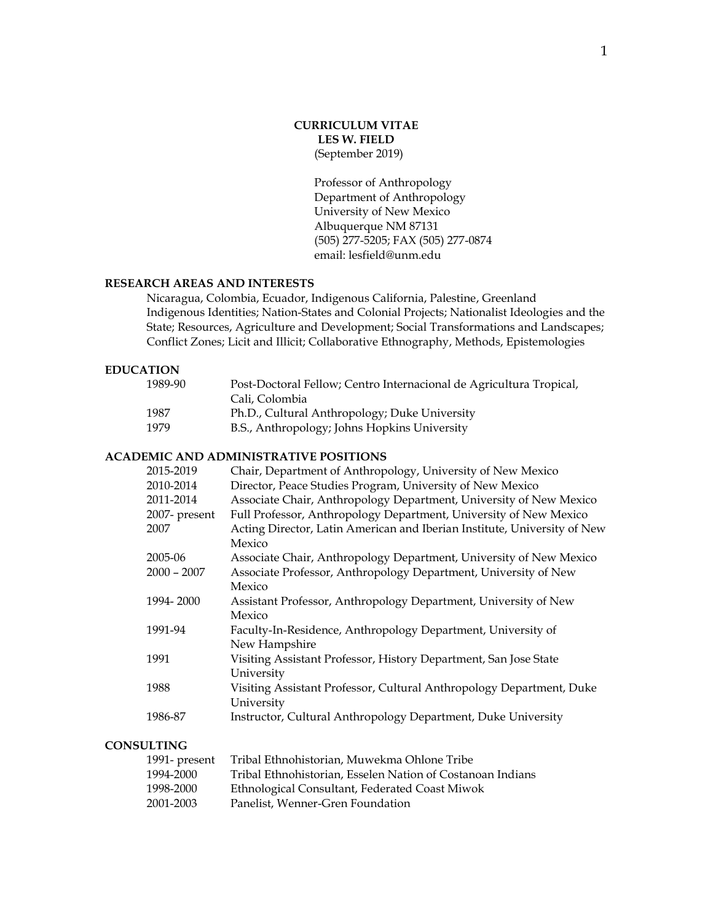## **CURRICULUM VITAE LES W. FIELD** (September 2019)

Professor of Anthropology Department of Anthropology University of New Mexico Albuquerque NM 87131 (505) 277-5205; FAX (505) 277-0874 email: lesfield@unm.edu

### **RESEARCH AREAS AND INTERESTS**

Nicaragua, Colombia, Ecuador, Indigenous California, Palestine, Greenland Indigenous Identities; Nation-States and Colonial Projects; Nationalist Ideologies and the State; Resources, Agriculture and Development; Social Transformations and Landscapes; Conflict Zones; Licit and Illicit; Collaborative Ethnography, Methods, Epistemologies

## **EDUCATION**

| 1989-90 | Post-Doctoral Fellow; Centro Internacional de Agricultura Tropical, |
|---------|---------------------------------------------------------------------|
|         | Cali, Colombia                                                      |
| 1987    | Ph.D., Cultural Anthropology; Duke University                       |
| 1979    | B.S., Anthropology; Johns Hopkins University                        |
|         |                                                                     |

### **ACADEMIC AND ADMINISTRATIVE POSITIONS**

| 2015-2019     | Chair, Department of Anthropology, University of New Mexico              |
|---------------|--------------------------------------------------------------------------|
| 2010-2014     | Director, Peace Studies Program, University of New Mexico                |
| 2011-2014     | Associate Chair, Anthropology Department, University of New Mexico       |
| 2007- present | Full Professor, Anthropology Department, University of New Mexico        |
| 2007          | Acting Director, Latin American and Iberian Institute, University of New |
|               | Mexico                                                                   |
| 2005-06       | Associate Chair, Anthropology Department, University of New Mexico       |
| $2000 - 2007$ | Associate Professor, Anthropology Department, University of New          |
|               | Mexico                                                                   |
| 1994-2000     | Assistant Professor, Anthropology Department, University of New          |
|               | Mexico                                                                   |
| 1991-94       | Faculty-In-Residence, Anthropology Department, University of             |
|               | New Hampshire                                                            |
| 1991          | Visiting Assistant Professor, History Department, San Jose State         |
|               | University                                                               |
| 1988          | Visiting Assistant Professor, Cultural Anthropology Department, Duke     |
|               | University                                                               |
| 1986-87       | Instructor, Cultural Anthropology Department, Duke University            |
|               |                                                                          |

## **CONSULTING**

| 1991- present | Tribal Ethnohistorian, Muwekma Ohlone Tribe                |
|---------------|------------------------------------------------------------|
| 1994-2000     | Tribal Ethnohistorian, Esselen Nation of Costanoan Indians |
| 1998-2000     | Ethnological Consultant, Federated Coast Miwok             |
| 2001-2003     | Panelist, Wenner-Gren Foundation                           |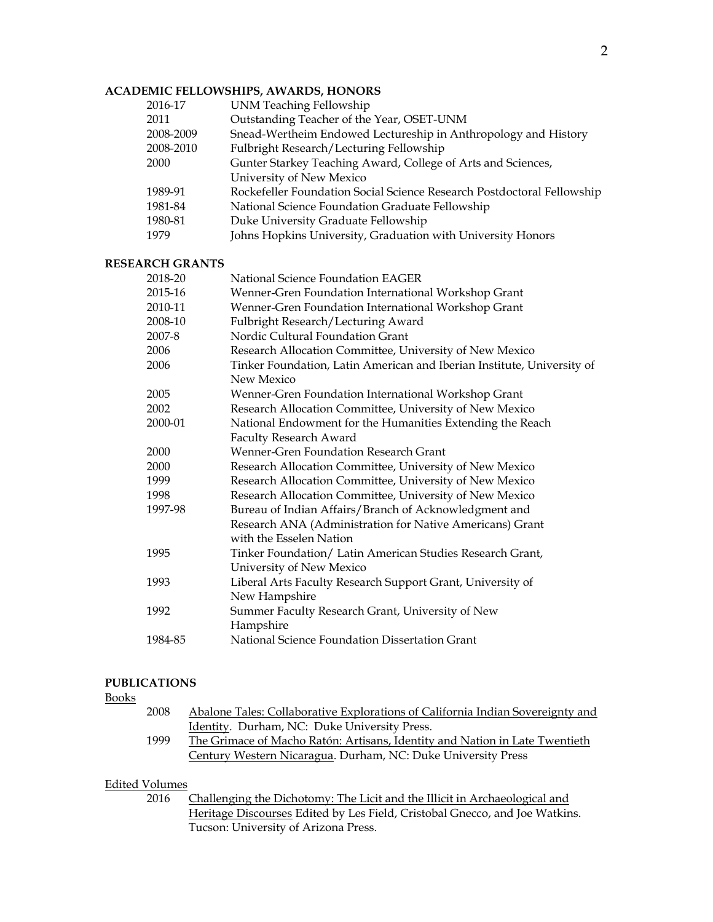# **ACADEMIC FELLOWSHIPS, AWARDS, HONORS**

| 2016-17   | <b>UNM Teaching Fellowship</b>                                         |  |
|-----------|------------------------------------------------------------------------|--|
| 2011      | Outstanding Teacher of the Year, OSET-UNM                              |  |
| 2008-2009 | Snead-Wertheim Endowed Lectureship in Anthropology and History         |  |
| 2008-2010 | Fulbright Research/Lecturing Fellowship                                |  |
| 2000      | Gunter Starkey Teaching Award, College of Arts and Sciences,           |  |
|           | University of New Mexico                                               |  |
| 1989-91   | Rockefeller Foundation Social Science Research Postdoctoral Fellowship |  |
| 1981-84   | National Science Foundation Graduate Fellowship                        |  |
| 1980-81   | Duke University Graduate Fellowship                                    |  |
| 1979      | Johns Hopkins University, Graduation with University Honors            |  |
|           |                                                                        |  |

#### **RESEARCH GRANTS**

| 2018-20 | National Science Foundation EAGER                                      |
|---------|------------------------------------------------------------------------|
| 2015-16 | Wenner-Gren Foundation International Workshop Grant                    |
| 2010-11 | Wenner-Gren Foundation International Workshop Grant                    |
| 2008-10 | Fulbright Research/Lecturing Award                                     |
| 2007-8  | Nordic Cultural Foundation Grant                                       |
| 2006    | Research Allocation Committee, University of New Mexico                |
| 2006    | Tinker Foundation, Latin American and Iberian Institute, University of |
|         | New Mexico                                                             |
| 2005    | Wenner-Gren Foundation International Workshop Grant                    |
| 2002    | Research Allocation Committee, University of New Mexico                |
| 2000-01 | National Endowment for the Humanities Extending the Reach              |
|         | <b>Faculty Research Award</b>                                          |
| 2000    | Wenner-Gren Foundation Research Grant                                  |
| 2000    | Research Allocation Committee, University of New Mexico                |
| 1999    | Research Allocation Committee, University of New Mexico                |
| 1998    | Research Allocation Committee, University of New Mexico                |
| 1997-98 | Bureau of Indian Affairs/Branch of Acknowledgment and                  |
|         | Research ANA (Administration for Native Americans) Grant               |
|         | with the Esselen Nation                                                |
| 1995    | Tinker Foundation/ Latin American Studies Research Grant,              |
|         | University of New Mexico                                               |
| 1993    | Liberal Arts Faculty Research Support Grant, University of             |
|         | New Hampshire                                                          |
| 1992    | Summer Faculty Research Grant, University of New                       |
|         | Hampshire                                                              |
| 1984-85 | National Science Foundation Dissertation Grant                         |
|         |                                                                        |

## **PUBLICATIONS**

#### Books

| 2008 | Abalone Tales: Collaborative Explorations of California Indian Sovereignty and |
|------|--------------------------------------------------------------------------------|
|      | Identity. Durham, NC: Duke University Press.                                   |
| 1999 | The Grimace of Macho Ratón: Artisans, Identity and Nation in Late Twentieth    |
|      | Century Western Nicaragua. Durham, NC: Duke University Press                   |

## Edited Volumes

2016 Challenging the Dichotomy: The Licit and the Illicit in Archaeological and Heritage Discourses Edited by Les Field, Cristobal Gnecco, and Joe Watkins. Tucson: University of Arizona Press.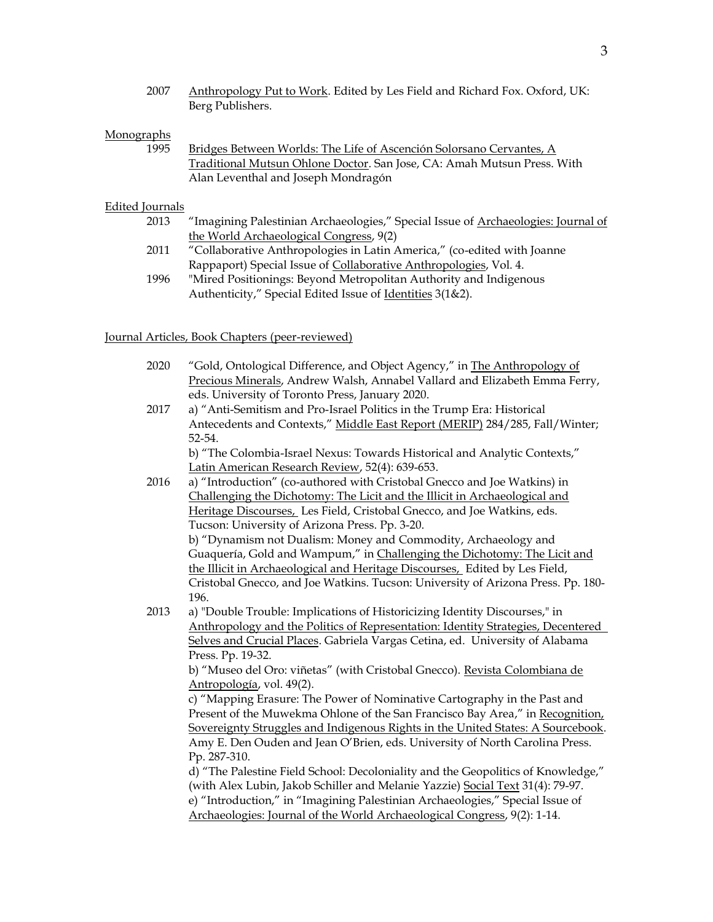2007 Anthropology Put to Work. Edited by Les Field and Richard Fox. Oxford, UK: Berg Publishers.

### **Monographs**

1995 Bridges Between Worlds: The Life of Ascención Solorsano Cervantes, A Traditional Mutsun Ohlone Doctor. San Jose, CA: Amah Mutsun Press. With Alan Leventhal and Joseph Mondragón

### Edited Journals

- 2013 "Imagining Palestinian Archaeologies," Special Issue of Archaeologies: Journal of the World Archaeological Congress, 9(2)
- 2011 "Collaborative Anthropologies in Latin America," (co-edited with Joanne Rappaport) Special Issue of Collaborative Anthropologies, Vol. 4.
- 1996 "Mired Positionings: Beyond Metropolitan Authority and Indigenous Authenticity," Special Edited Issue of Identities 3(1&2).

#### Journal Articles, Book Chapters (peer-reviewed)

| 2020 | "Gold, Ontological Difference, and Object Agency," in The Anthropology of        |
|------|----------------------------------------------------------------------------------|
|      | Precious Minerals, Andrew Walsh, Annabel Vallard and Elizabeth Emma Ferry,       |
|      | eds. University of Toronto Press, January 2020.                                  |
| 2017 | a) "Anti-Semitism and Pro-Israel Politics in the Trump Era: Historical           |
|      | Antecedents and Contexts," Middle East Report (MERIP) 284/285, Fall/Winter;      |
|      | 52-54.                                                                           |
|      | b) "The Colombia-Israel Nexus: Towards Historical and Analytic Contexts,"        |
|      | Latin American Research Review, 52(4): 639-653.                                  |
| 2016 | a) "Introduction" (co-authored with Cristobal Gnecco and Joe Watkins) in         |
|      | Challenging the Dichotomy: The Licit and the Illicit in Archaeological and       |
|      | Heritage Discourses, Les Field, Cristobal Gnecco, and Joe Watkins, eds.          |
|      | Tucson: University of Arizona Press. Pp. 3-20.                                   |
|      | b) "Dynamism not Dualism: Money and Commodity, Archaeology and                   |
|      | Guaquería, Gold and Wampum," in Challenging the Dichotomy: The Licit and         |
|      | the Illicit in Archaeological and Heritage Discourses, Edited by Les Field,      |
|      | Cristobal Gnecco, and Joe Watkins. Tucson: University of Arizona Press. Pp. 180- |
|      | 196.                                                                             |
| 2013 | a) "Double Trouble: Implications of Historicizing Identity Discourses," in       |
|      | Anthropology and the Politics of Representation: Identity Strategies, Decentered |
|      | Selves and Crucial Places. Gabriela Vargas Cetina, ed. University of Alabama     |
|      | Press. Pp. 19-32.                                                                |
|      | b) "Museo del Oro: viñetas" (with Cristobal Gnecco). Revista Colombiana de       |
|      | Antropología, vol. 49(2).                                                        |
|      | c) "Mapping Erasure: The Power of Nominative Cartography in the Past and         |
|      | Present of the Muwekma Ohlone of the San Francisco Bay Area," in Recognition,    |
|      | Sovereignty Struggles and Indigenous Rights in the United States: A Sourcebook.  |
|      | Amy E. Den Ouden and Jean O'Brien, eds. University of North Carolina Press.      |
|      | Pp. 287-310.                                                                     |
|      | d) "The Palestine Field School: Decoloniality and the Geopolitics of Knowledge," |
|      | (with Alex Lubin, Jakob Schiller and Melanie Yazzie) Social Text 31(4): 79-97.   |
|      | e) "Introduction," in "Imagining Palestinian Archaeologies," Special Issue of    |
|      | Archaeologies: Journal of the World Archaeological Congress, 9(2): 1-14.         |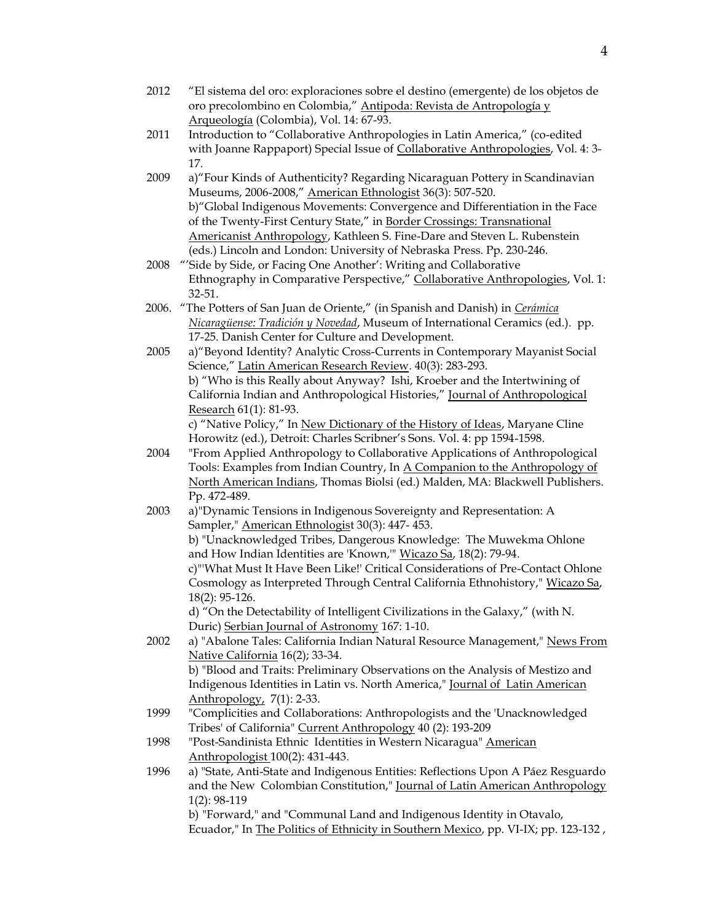- 2012 "El sistema del oro: exploraciones sobre el destino (emergente) de los objetos de oro precolombino en Colombia," Antipoda: Revista de Antropología y Arqueología (Colombia), Vol. 14: 67-93.
- 2011 Introduction to "Collaborative Anthropologies in Latin America," (co-edited with Joanne Rappaport) Special Issue of Collaborative Anthropologies, Vol. 4: 3- 17.
- 2009 a)"Four Kinds of Authenticity? Regarding Nicaraguan Pottery in Scandinavian Museums, 2006-2008," American Ethnologist 36(3): 507-520. b)"Global Indigenous Movements: Convergence and Differentiation in the Face of the Twenty-First Century State," in Border Crossings: Transnational Americanist Anthropology, Kathleen S. Fine-Dare and Steven L. Rubenstein (eds.) Lincoln and London: University of Nebraska Press. Pp. 230-246.
- 2008 "'Side by Side, or Facing One Another': Writing and Collaborative Ethnography in Comparative Perspective," Collaborative Anthropologies, Vol. 1: 32-51.
- 2006. "The Potters of San Juan de Oriente," (in Spanish and Danish) in *Cerámica Nicaragüense: Tradición y Novedad*, Museum of International Ceramics (ed.). pp. 17-25. Danish Center for Culture and Development.
- 2005 a)"Beyond Identity? Analytic Cross-Currents in Contemporary Mayanist Social Science," Latin American Research Review. 40(3): 283-293. b) "Who is this Really about Anyway? Ishi, Kroeber and the Intertwining of California Indian and Anthropological Histories," Journal of Anthropological Research 61(1): 81-93.

c) "Native Policy," In New Dictionary of the History of Ideas, Maryane Cline Horowitz (ed.), Detroit: Charles Scribner's Sons. Vol. 4: pp 1594-1598.

- 2004 "From Applied Anthropology to Collaborative Applications of Anthropological Tools: Examples from Indian Country, In A Companion to the Anthropology of North American Indians, Thomas Biolsi (ed.) Malden, MA: Blackwell Publishers. Pp. 472-489.
- 2003 a)"Dynamic Tensions in Indigenous Sovereignty and Representation: A Sampler," American Ethnologist 30(3): 447- 453.

b) "Unacknowledged Tribes, Dangerous Knowledge: The Muwekma Ohlone and How Indian Identities are 'Known,'" Wicazo Sa, 18(2): 79-94.

c)"'What Must It Have Been Like!' Critical Considerations of Pre-Contact Ohlone Cosmology as Interpreted Through Central California Ethnohistory," Wicazo Sa, 18(2): 95-126.

d) "On the Detectability of Intelligent Civilizations in the Galaxy," (with N. Duric) Serbian Journal of Astronomy 167: 1-10.

2002 a) "Abalone Tales: California Indian Natural Resource Management," News From Native California 16(2); 33-34. b) "Blood and Traits: Preliminary Observations on the Analysis of Mestizo and

Indigenous Identities in Latin vs. North America," Journal of Latin American Anthropology, 7(1): 2-33.

- 1999 "Complicities and Collaborations: Anthropologists and the 'Unacknowledged Tribes' of California" Current Anthropology 40 (2): 193-209
- 1998 "Post-Sandinista Ethnic Identities in Western Nicaragua" American Anthropologist 100(2): 431-443.
- 1996 a) "State, Anti-State and Indigenous Entities: Reflections Upon A Páez Resguardo and the New Colombian Constitution," Journal of Latin American Anthropology 1(2): 98-119 b) "Forward," and "Communal Land and Indigenous Identity in Otavalo,

Ecuador," In The Politics of Ethnicity in Southern Mexico, pp. VI-IX; pp. 123-132 ,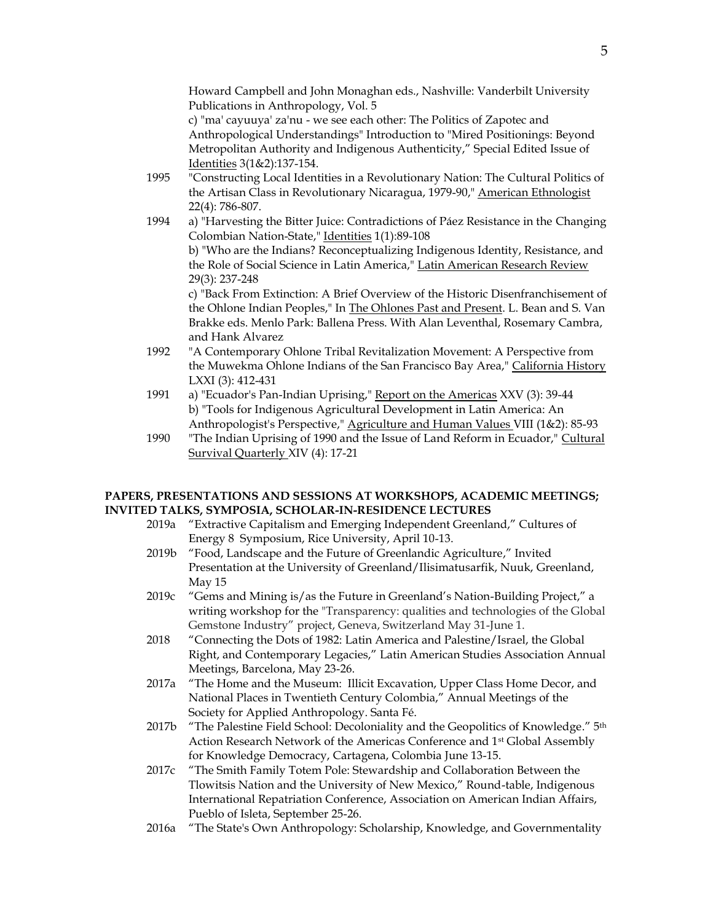Howard Campbell and John Monaghan eds., Nashville: Vanderbilt University Publications in Anthropology, Vol. 5

c) "ma' cayuuya' za'nu - we see each other: The Politics of Zapotec and Anthropological Understandings" Introduction to "Mired Positionings: Beyond Metropolitan Authority and Indigenous Authenticity," Special Edited Issue of Identities 3(1&2):137-154.

- 1995 "Constructing Local Identities in a Revolutionary Nation: The Cultural Politics of the Artisan Class in Revolutionary Nicaragua, 1979-90," American Ethnologist 22(4): 786-807.
- 1994 a) "Harvesting the Bitter Juice: Contradictions of Páez Resistance in the Changing Colombian Nation-State," Identities 1(1):89-108

b) "Who are the Indians? Reconceptualizing Indigenous Identity, Resistance, and the Role of Social Science in Latin America," Latin American Research Review 29(3): 237-248

c) "Back From Extinction: A Brief Overview of the Historic Disenfranchisement of the Ohlone Indian Peoples," In The Ohlones Past and Present. L. Bean and S. Van Brakke eds. Menlo Park: Ballena Press. With Alan Leventhal, Rosemary Cambra, and Hank Alvarez

- 1992 "A Contemporary Ohlone Tribal Revitalization Movement: A Perspective from the Muwekma Ohlone Indians of the San Francisco Bay Area," California History LXXI (3): 412-431
- 1991 a) "Ecuador's Pan-Indian Uprising," Report on the Americas XXV (3): 39-44 b) "Tools for Indigenous Agricultural Development in Latin America: An Anthropologist's Perspective," Agriculture and Human Values VIII (1&2): 85-93
- 1990 "The Indian Uprising of 1990 and the Issue of Land Reform in Ecuador," Cultural Survival Quarterly XIV (4): 17-21

### **PAPERS, PRESENTATIONS AND SESSIONS AT WORKSHOPS, ACADEMIC MEETINGS; INVITED TALKS, SYMPOSIA, SCHOLAR-IN-RESIDENCE LECTURES**

- 2019a "Extractive Capitalism and Emerging Independent Greenland," Cultures of Energy 8 Symposium, Rice University, April 10-13.
- 2019b "Food, Landscape and the Future of Greenlandic Agriculture," Invited Presentation at the University of Greenland/Ilisimatusarfik, Nuuk, Greenland, May 15
- 2019c "Gems and Mining is/as the Future in Greenland's Nation-Building Project," a writing workshop for the "Transparency: qualities and technologies of the Global Gemstone Industry" project, Geneva, Switzerland May 31-June 1.
- 2018 "Connecting the Dots of 1982: Latin America and Palestine/Israel, the Global Right, and Contemporary Legacies," Latin American Studies Association Annual Meetings, Barcelona, May 23-26.
- 2017a "The Home and the Museum: Illicit Excavation, Upper Class Home Decor, and National Places in Twentieth Century Colombia," Annual Meetings of the Society for Applied Anthropology. Santa Fé.
- 2017b "The Palestine Field School: Decoloniality and the Geopolitics of Knowledge." 5<sup>th</sup> Action Research Network of the Americas Conference and 1st Global Assembly for Knowledge Democracy, Cartagena, Colombia June 13-15.

2017c "The Smith Family Totem Pole: Stewardship and Collaboration Between the Tlowitsis Nation and the University of New Mexico," Round-table, Indigenous International Repatriation Conference, Association on American Indian Affairs, Pueblo of Isleta, September 25-26.

2016a "The State's Own Anthropology: Scholarship, Knowledge, and Governmentality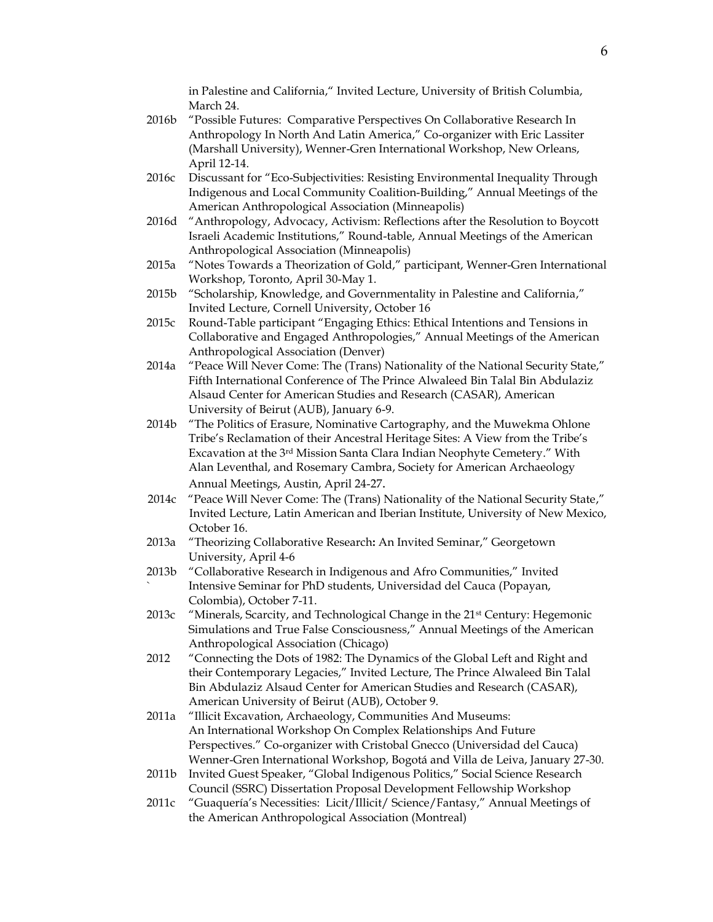in Palestine and California," Invited Lecture, University of British Columbia, March 24.

- 2016b "Possible Futures: Comparative Perspectives On Collaborative Research In Anthropology In North And Latin America," Co-organizer with Eric Lassiter (Marshall University), Wenner-Gren International Workshop, New Orleans, April 12-14.
- 2016c Discussant for "Eco-Subjectivities: Resisting Environmental Inequality Through Indigenous and Local Community Coalition-Building," Annual Meetings of the American Anthropological Association (Minneapolis)
- 2016d "Anthropology, Advocacy, Activism: Reflections after the Resolution to Boycott Israeli Academic Institutions," Round-table, Annual Meetings of the American Anthropological Association (Minneapolis)
- 2015a "Notes Towards a Theorization of Gold," participant, Wenner-Gren International Workshop, Toronto, April 30-May 1.
- 2015b "Scholarship, Knowledge, and Governmentality in Palestine and California," Invited Lecture, Cornell University, October 16
- 2015c Round-Table participant "Engaging Ethics: Ethical Intentions and Tensions in Collaborative and Engaged Anthropologies," Annual Meetings of the American Anthropological Association (Denver)
- 2014a "Peace Will Never Come: The (Trans) Nationality of the National Security State," Fifth International Conference of The Prince Alwaleed Bin Talal Bin Abdulaziz Alsaud Center for American Studies and Research (CASAR), American University of Beirut (AUB), January 6-9.
- 2014b "The Politics of Erasure, Nominative Cartography, and the Muwekma Ohlone Tribe's Reclamation of their Ancestral Heritage Sites: A View from the Tribe's Excavation at the 3rd Mission Santa Clara Indian Neophyte Cemetery." With Alan Leventhal, and Rosemary Cambra, Society for American Archaeology Annual Meetings, Austin, April 24-27.
- 2014c "Peace Will Never Come: The (Trans) Nationality of the National Security State," Invited Lecture, Latin American and Iberian Institute, University of New Mexico, October 16.
- 2013a "Theorizing Collaborative Research**:** An Invited Seminar," Georgetown University, April 4-6
- 2013b "Collaborative Research in Indigenous and Afro Communities," Invited ` Intensive Seminar for PhD students, Universidad del Cauca (Popayan, Colombia), October 7-11.
- 2013c "Minerals, Scarcity, and Technological Change in the 21<sup>st</sup> Century: Hegemonic Simulations and True False Consciousness," Annual Meetings of the American Anthropological Association (Chicago)
- 2012 "Connecting the Dots of 1982: The Dynamics of the Global Left and Right and their Contemporary Legacies," Invited Lecture, The Prince Alwaleed Bin Talal Bin Abdulaziz Alsaud Center for American Studies and Research (CASAR), American University of Beirut (AUB), October 9.
- 2011a "Illicit Excavation, Archaeology, Communities And Museums: An International Workshop On Complex Relationships And Future Perspectives." Co-organizer with Cristobal Gnecco (Universidad del Cauca) Wenner-Gren International Workshop, Bogotá and Villa de Leiva, January 27-30.
- 2011b Invited Guest Speaker, "Global Indigenous Politics," Social Science Research Council (SSRC) Dissertation Proposal Development Fellowship Workshop
- 2011c "Guaquería's Necessities: Licit/Illicit/ Science/Fantasy," Annual Meetings of the American Anthropological Association (Montreal)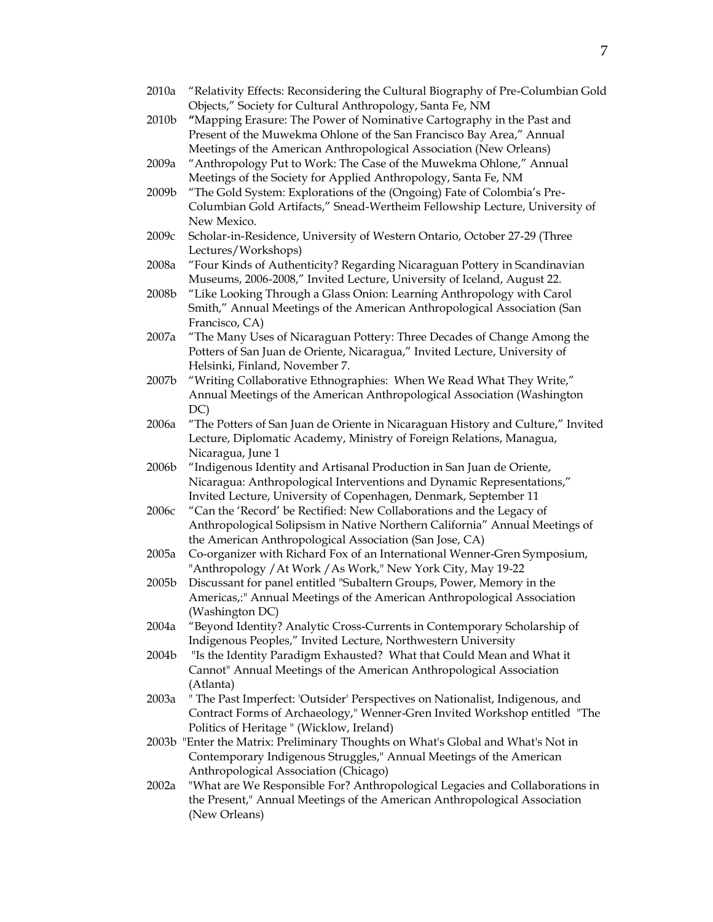- 2010a "Relativity Effects: Reconsidering the Cultural Biography of Pre-Columbian Gold Objects," Society for Cultural Anthropology, Santa Fe, NM 2010b **"**Mapping Erasure: The Power of Nominative Cartography in the Past and Present of the Muwekma Ohlone of the San Francisco Bay Area," Annual Meetings of the American Anthropological Association (New Orleans) 2009a "Anthropology Put to Work: The Case of the Muwekma Ohlone," Annual Meetings of the Society for Applied Anthropology, Santa Fe, NM 2009b "The Gold System: Explorations of the (Ongoing) Fate of Colombia's Pre-Columbian Gold Artifacts," Snead-Wertheim Fellowship Lecture, University of New Mexico. 2009c Scholar-in-Residence, University of Western Ontario, October 27-29 (Three Lectures/Workshops) 2008a "Four Kinds of Authenticity? Regarding Nicaraguan Pottery in Scandinavian Museums, 2006-2008," Invited Lecture, University of Iceland, August 22. 2008b "Like Looking Through a Glass Onion: Learning Anthropology with Carol Smith," Annual Meetings of the American Anthropological Association (San Francisco, CA) 2007a "The Many Uses of Nicaraguan Pottery: Three Decades of Change Among the Potters of San Juan de Oriente, Nicaragua," Invited Lecture, University of Helsinki, Finland, November 7. 2007b "Writing Collaborative Ethnographies: When We Read What They Write," Annual Meetings of the American Anthropological Association (Washington DC) 2006a "The Potters of San Juan de Oriente in Nicaraguan History and Culture," Invited Lecture, Diplomatic Academy, Ministry of Foreign Relations, Managua, Nicaragua, June 1 2006b "Indigenous Identity and Artisanal Production in San Juan de Oriente, Nicaragua: Anthropological Interventions and Dynamic Representations," Invited Lecture, University of Copenhagen, Denmark, September 11 2006c "Can the 'Record' be Rectified: New Collaborations and the Legacy of Anthropological Solipsism in Native Northern California" Annual Meetings of the American Anthropological Association (San Jose, CA) 2005a Co-organizer with Richard Fox of an International Wenner-Gren Symposium, "Anthropology / At Work / As Work," New York City, May 19-22 2005b Discussant for panel entitled "Subaltern Groups, Power, Memory in the Americas,:" Annual Meetings of the American Anthropological Association (Washington DC) 2004a "Beyond Identity? Analytic Cross-Currents in Contemporary Scholarship of Indigenous Peoples," Invited Lecture, Northwestern University 2004b "Is the Identity Paradigm Exhausted? What that Could Mean and What it Cannot" Annual Meetings of the American Anthropological Association (Atlanta) 2003a " The Past Imperfect: 'Outsider' Perspectives on Nationalist, Indigenous, and Contract Forms of Archaeology," Wenner-Gren Invited Workshop entitled "The Politics of Heritage " (Wicklow, Ireland) 2003b "Enter the Matrix: Preliminary Thoughts on What's Global and What's Not in Contemporary Indigenous Struggles," Annual Meetings of the American Anthropological Association (Chicago) 2002a "What are We Responsible For? Anthropological Legacies and Collaborations in the Present," Annual Meetings of the American Anthropological Association (New Orleans)
- 7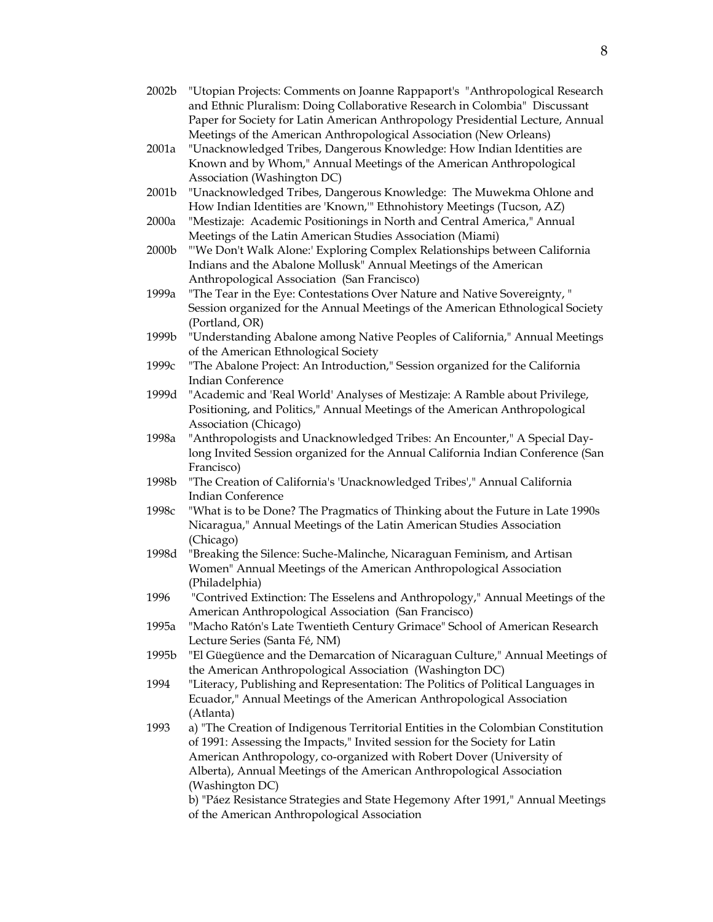- 2002b "Utopian Projects: Comments on Joanne Rappaport's "Anthropological Research and Ethnic Pluralism: Doing Collaborative Research in Colombia" Discussant Paper for Society for Latin American Anthropology Presidential Lecture, Annual Meetings of the American Anthropological Association (New Orleans)
- 2001a "Unacknowledged Tribes, Dangerous Knowledge: How Indian Identities are Known and by Whom," Annual Meetings of the American Anthropological Association (Washington DC)
- 2001b "Unacknowledged Tribes, Dangerous Knowledge: The Muwekma Ohlone and How Indian Identities are 'Known,'" Ethnohistory Meetings (Tucson, AZ)
- 2000a "Mestizaje: Academic Positionings in North and Central America," Annual Meetings of the Latin American Studies Association (Miami)
- 2000b "'We Don't Walk Alone:' Exploring Complex Relationships between California Indians and the Abalone Mollusk" Annual Meetings of the American Anthropological Association (San Francisco)
- 1999a "The Tear in the Eye: Contestations Over Nature and Native Sovereignty, " Session organized for the Annual Meetings of the American Ethnological Society (Portland, OR)
- 1999b "Understanding Abalone among Native Peoples of California," Annual Meetings of the American Ethnological Society
- 1999c "The Abalone Project: An Introduction," Session organized for the California Indian Conference
- 1999d "Academic and 'Real World' Analyses of Mestizaje: A Ramble about Privilege, Positioning, and Politics," Annual Meetings of the American Anthropological Association (Chicago)
- 1998a "Anthropologists and Unacknowledged Tribes: An Encounter," A Special Daylong Invited Session organized for the Annual California Indian Conference (San Francisco)
- 1998b "The Creation of California's 'Unacknowledged Tribes'," Annual California Indian Conference
- 1998c "What is to be Done? The Pragmatics of Thinking about the Future in Late 1990s Nicaragua," Annual Meetings of the Latin American Studies Association (Chicago)
- 1998d "Breaking the Silence: Suche-Malinche, Nicaraguan Feminism, and Artisan Women" Annual Meetings of the American Anthropological Association (Philadelphia)
- 1996 "Contrived Extinction: The Esselens and Anthropology," Annual Meetings of the American Anthropological Association (San Francisco)
- 1995a "Macho Ratón's Late Twentieth Century Grimace" School of American Research Lecture Series (Santa Fé, NM)
- 1995b "El Güegüence and the Demarcation of Nicaraguan Culture," Annual Meetings of the American Anthropological Association (Washington DC)
- 1994 "Literacy, Publishing and Representation: The Politics of Political Languages in Ecuador," Annual Meetings of the American Anthropological Association (Atlanta)
- 1993 a) "The Creation of Indigenous Territorial Entities in the Colombian Constitution of 1991: Assessing the Impacts," Invited session for the Society for Latin American Anthropology, co-organized with Robert Dover (University of Alberta), Annual Meetings of the American Anthropological Association (Washington DC)

b) "Páez Resistance Strategies and State Hegemony After 1991," Annual Meetings of the American Anthropological Association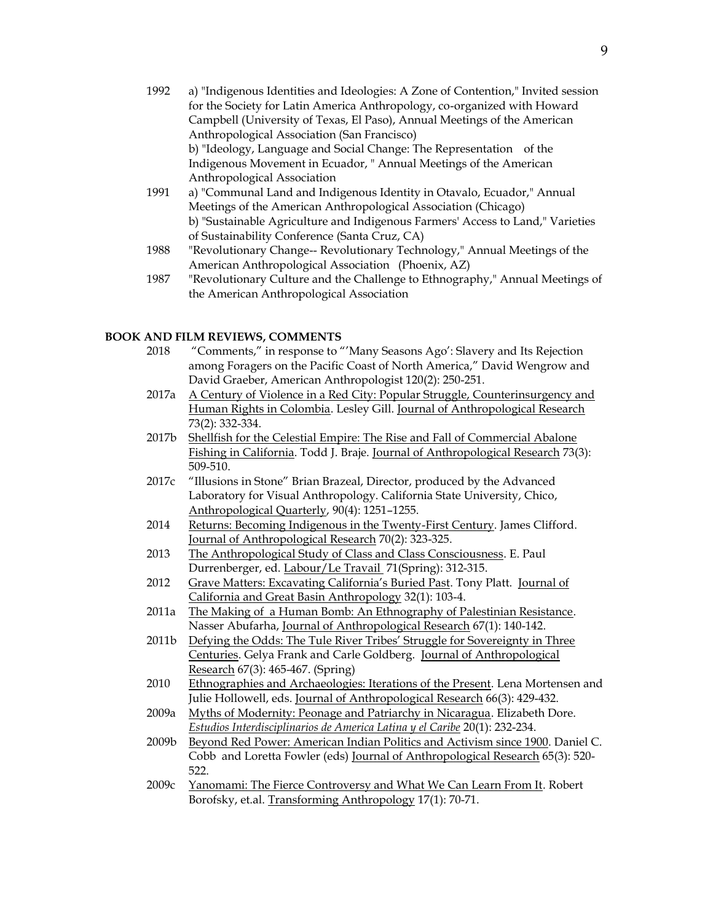- 1992 a) "Indigenous Identities and Ideologies: A Zone of Contention," Invited session for the Society for Latin America Anthropology, co-organized with Howard Campbell (University of Texas, El Paso), Annual Meetings of the American Anthropological Association (San Francisco) b) "Ideology, Language and Social Change: The Representation of the Indigenous Movement in Ecuador, " Annual Meetings of the American Anthropological Association 1991 a) "Communal Land and Indigenous Identity in Otavalo, Ecuador," Annual
- Meetings of the American Anthropological Association (Chicago) b) "Sustainable Agriculture and Indigenous Farmers' Access to Land," Varieties of Sustainability Conference (Santa Cruz, CA)
- 1988 "Revolutionary Change-- Revolutionary Technology," Annual Meetings of the American Anthropological Association (Phoenix, AZ)
- 1987 "Revolutionary Culture and the Challenge to Ethnography," Annual Meetings of the American Anthropological Association

#### **BOOK AND FILM REVIEWS, COMMENTS**

- 2018 "Comments," in response to "'Many Seasons Ago': Slavery and Its Rejection among Foragers on the Pacific Coast of North America," David Wengrow and David Graeber, American Anthropologist 120(2): 250-251.
- 2017a A Century of Violence in a Red City: Popular Struggle, Counterinsurgency and Human Rights in Colombia. Lesley Gill. Journal of Anthropological Research 73(2): 332-334.
- 2017b Shellfish for the Celestial Empire: The Rise and Fall of Commercial Abalone Fishing in California. Todd J. Braje. Journal of Anthropological Research 73(3): 509-510.
- 2017c "Illusions in Stone" Brian Brazeal, Director, produced by the Advanced Laboratory for Visual Anthropology. California State University, Chico, Anthropological Quarterly, 90(4): 1251–1255.
- 2014 Returns: Becoming Indigenous in the Twenty-First Century. James Clifford. Journal of Anthropological Research 70(2): 323-325.
- 2013 The Anthropological Study of Class and Class Consciousness. E. Paul Durrenberger, ed. Labour/Le Travail 71(Spring): 312-315.
- 2012 Grave Matters: Excavating California's Buried Past. Tony Platt. Journal of California and Great Basin Anthropology 32(1): 103-4.
- 2011a The Making of a Human Bomb: An Ethnography of Palestinian Resistance. Nasser Abufarha, Journal of Anthropological Research 67(1): 140-142.
- 2011b Defying the Odds: The Tule River Tribes' Struggle for Sovereignty in Three Centuries. Gelya Frank and Carle Goldberg. Journal of Anthropological Research 67(3): 465-467. (Spring)
- 2010 Ethnographies and Archaeologies: Iterations of the Present. Lena Mortensen and Julie Hollowell, eds. Journal of Anthropological Research 66(3): 429-432.
- 2009a Myths of Modernity: Peonage and Patriarchy in Nicaragua. Elizabeth Dore. *Estudios Interdisciplinarios de America Latina y el Caribe* 20(1): 232-234.
- 2009b Beyond Red Power: American Indian Politics and Activism since 1900. Daniel C. Cobb and Loretta Fowler (eds) Journal of Anthropological Research 65(3): 520- 522.
- 2009c Yanomami: The Fierce Controversy and What We Can Learn From It. Robert Borofsky, et.al. Transforming Anthropology 17(1): 70-71.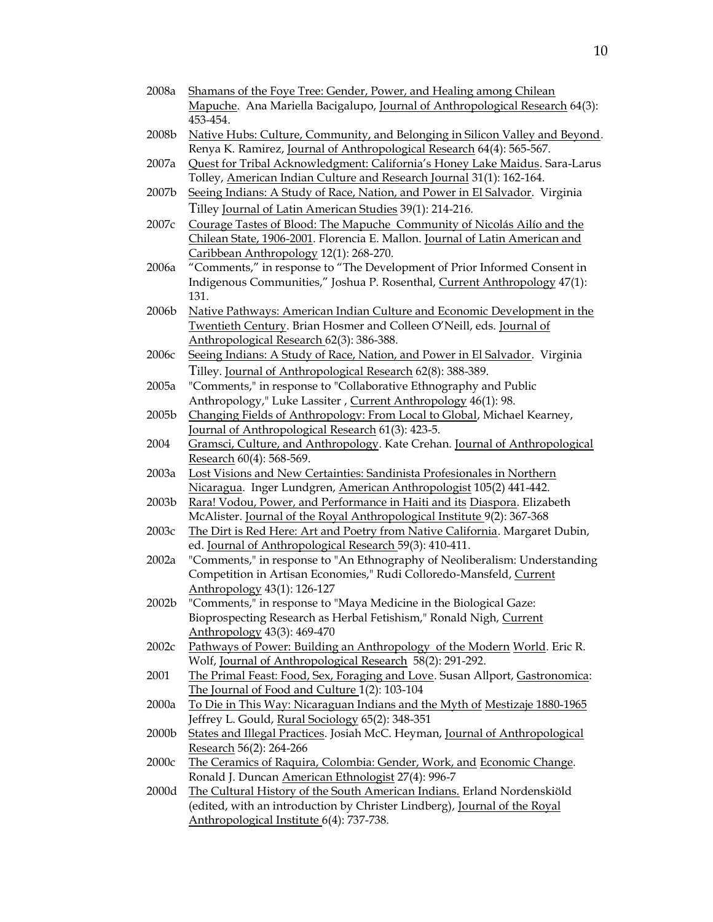2008a Shamans of the Foye Tree: Gender, Power, and Healing among Chilean Mapuche. Ana Mariella Bacigalupo, Journal of Anthropological Research 64(3): 453-454. 2008b Native Hubs: Culture, Community, and Belonging in Silicon Valley and Beyond. Renya K. Ramirez, Journal of Anthropological Research 64(4): 565-567. 2007a Quest for Tribal Acknowledgment: California's Honey Lake Maidus. Sara-Larus Tolley, American Indian Culture and Research Journal 31(1): 162-164. 2007b Seeing Indians: A Study of Race, Nation, and Power in El Salvador. Virginia Tilley Journal of Latin American Studies 39(1): 214-216. 2007c Courage Tastes of Blood: The Mapuche Community of Nicolás Ailío and the Chilean State, 1906-2001. Florencia E. Mallon. Journal of Latin American and Caribbean Anthropology 12(1): 268-270. 2006a "Comments," in response to "The Development of Prior Informed Consent in Indigenous Communities," Joshua P. Rosenthal, Current Anthropology 47(1): 131. 2006b Native Pathways: American Indian Culture and Economic Development in the Twentieth Century. Brian Hosmer and Colleen O'Neill, eds. Journal of Anthropological Research 62(3): 386-388. 2006c Seeing Indians: A Study of Race, Nation, and Power in El Salvador. Virginia Tilley. Journal of Anthropological Research 62(8): 388-389. 2005a "Comments," in response to "Collaborative Ethnography and Public Anthropology," Luke Lassiter , Current Anthropology 46(1): 98. 2005b Changing Fields of Anthropology: From Local to Global, Michael Kearney, Journal of Anthropological Research 61(3): 423-5. 2004 Gramsci, Culture, and Anthropology. Kate Crehan. Journal of Anthropological Research 60(4): 568-569. 2003a Lost Visions and New Certainties: Sandinista Profesionales in Northern Nicaragua. Inger Lundgren, American Anthropologist 105(2) 441-442. 2003b Rara! Vodou, Power, and Performance in Haiti and its Diaspora. Elizabeth McAlister. Journal of the Royal Anthropological Institute 9(2): 367-368 2003c The Dirt is Red Here: Art and Poetry from Native California. Margaret Dubin, ed. Journal of Anthropological Research 59(3): 410-411. 2002a "Comments," in response to "An Ethnography of Neoliberalism: Understanding Competition in Artisan Economies," Rudi Colloredo-Mansfeld, Current Anthropology 43(1): 126-127 2002b "Comments," in response to "Maya Medicine in the Biological Gaze: Bioprospecting Research as Herbal Fetishism," Ronald Nigh, Current Anthropology 43(3): 469-470 2002c Pathways of Power: Building an Anthropology of the Modern World. Eric R. Wolf, Journal of Anthropological Research 58(2): 291-292. 2001 The Primal Feast: Food, Sex, Foraging and Love. Susan Allport, Gastronomica: The Journal of Food and Culture 1(2): 103-104 2000a To Die in This Way: Nicaraguan Indians and the Myth of Mestizaje 1880-1965 Jeffrey L. Gould, Rural Sociology 65(2): 348-351 2000b States and Illegal Practices. Josiah McC. Heyman, Journal of Anthropological Research 56(2): 264-266 2000c The Ceramics of Raquira, Colombia: Gender, Work, and Economic Change. Ronald J. Duncan American Ethnologist 27(4): 996-7 2000d The Cultural History of the South American Indians. Erland Nordenskiöld (edited, with an introduction by Christer Lindberg), Journal of the Royal Anthropological Institute 6(4): 737-738.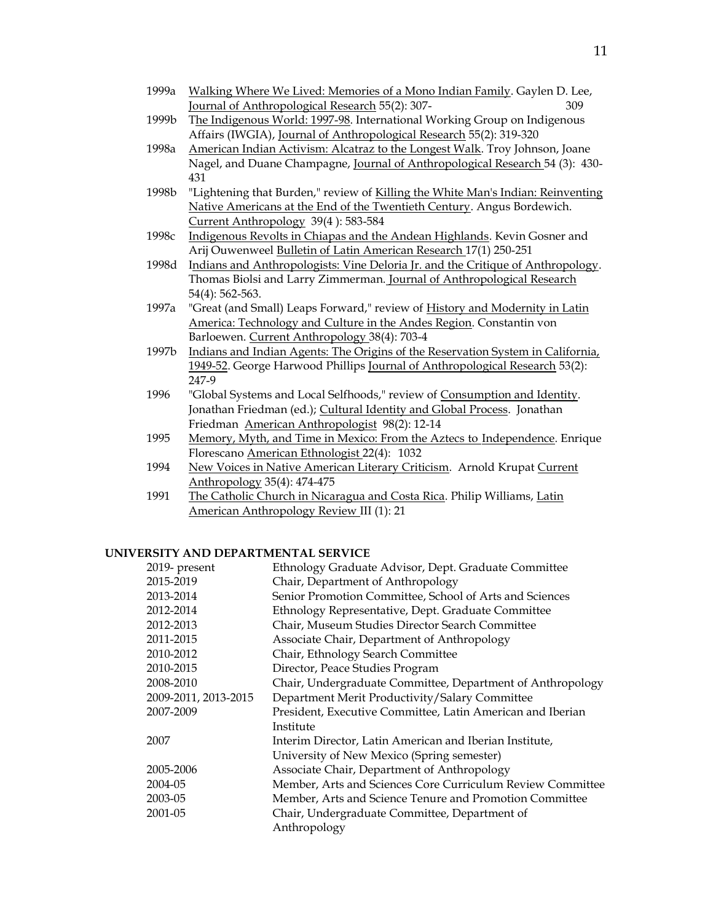| 1999a | Walking Where We Lived: Memories of a Mono Indian Family. Gaylen D. Lee, |     |
|-------|--------------------------------------------------------------------------|-----|
|       | Journal of Anthropological Research 55(2): 307-                          | 309 |

- 1999b The Indigenous World: 1997-98. International Working Group on Indigenous Affairs (IWGIA), Journal of Anthropological Research 55(2): 319-320
- 1998a American Indian Activism: Alcatraz to the Longest Walk. Troy Johnson, Joane Nagel, and Duane Champagne, Journal of Anthropological Research 54 (3): 430- 431
- 1998b "Lightening that Burden," review of Killing the White Man's Indian: Reinventing Native Americans at the End of the Twentieth Century. Angus Bordewich. Current Anthropology 39(4 ): 583-584
- 1998c Indigenous Revolts in Chiapas and the Andean Highlands. Kevin Gosner and Arij Ouwenweel Bulletin of Latin American Research 17(1) 250-251
- 1998d Indians and Anthropologists: Vine Deloria Jr. and the Critique of Anthropology. Thomas Biolsi and Larry Zimmerman. Journal of Anthropological Research 54(4): 562-563.
- 1997a "Great (and Small) Leaps Forward," review of History and Modernity in Latin America: Technology and Culture in the Andes Region. Constantin von Barloewen. Current Anthropology 38(4): 703-4
- 1997b Indians and Indian Agents: The Origins of the Reservation System in California, 1949-52. George Harwood Phillips Journal of Anthropological Research 53(2): 247-9
- 1996 "Global Systems and Local Selfhoods," review of Consumption and Identity. Jonathan Friedman (ed.); Cultural Identity and Global Process. Jonathan Friedman American Anthropologist 98(2): 12-14
- 1995 Memory, Myth, and Time in Mexico: From the Aztecs to Independence. Enrique Florescano American Ethnologist 22(4): 1032
- 1994 New Voices in Native American Literary Criticism. Arnold Krupat Current Anthropology 35(4): 474-475
- 1991 The Catholic Church in Nicaragua and Costa Rica. Philip Williams, Latin American Anthropology Review III (1): 21

#### **UNIVERSITY AND DEPARTMENTAL SERVICE**

| 2019- present        | Ethnology Graduate Advisor, Dept. Graduate Committee       |
|----------------------|------------------------------------------------------------|
| 2015-2019            | Chair, Department of Anthropology                          |
| 2013-2014            | Senior Promotion Committee, School of Arts and Sciences    |
| 2012-2014            | Ethnology Representative, Dept. Graduate Committee         |
| 2012-2013            | Chair, Museum Studies Director Search Committee            |
| 2011-2015            | Associate Chair, Department of Anthropology                |
| 2010-2012            | Chair, Ethnology Search Committee                          |
| 2010-2015            | Director, Peace Studies Program                            |
| 2008-2010            | Chair, Undergraduate Committee, Department of Anthropology |
| 2009-2011, 2013-2015 | Department Merit Productivity/Salary Committee             |
| 2007-2009            | President, Executive Committee, Latin American and Iberian |
|                      | Institute                                                  |
| 2007                 | Interim Director, Latin American and Iberian Institute,    |
|                      | University of New Mexico (Spring semester)                 |
| 2005-2006            | Associate Chair, Department of Anthropology                |
| 2004-05              | Member, Arts and Sciences Core Curriculum Review Committee |
| 2003-05              | Member, Arts and Science Tenure and Promotion Committee    |
| 2001-05              | Chair, Undergraduate Committee, Department of              |
|                      | Anthropology                                               |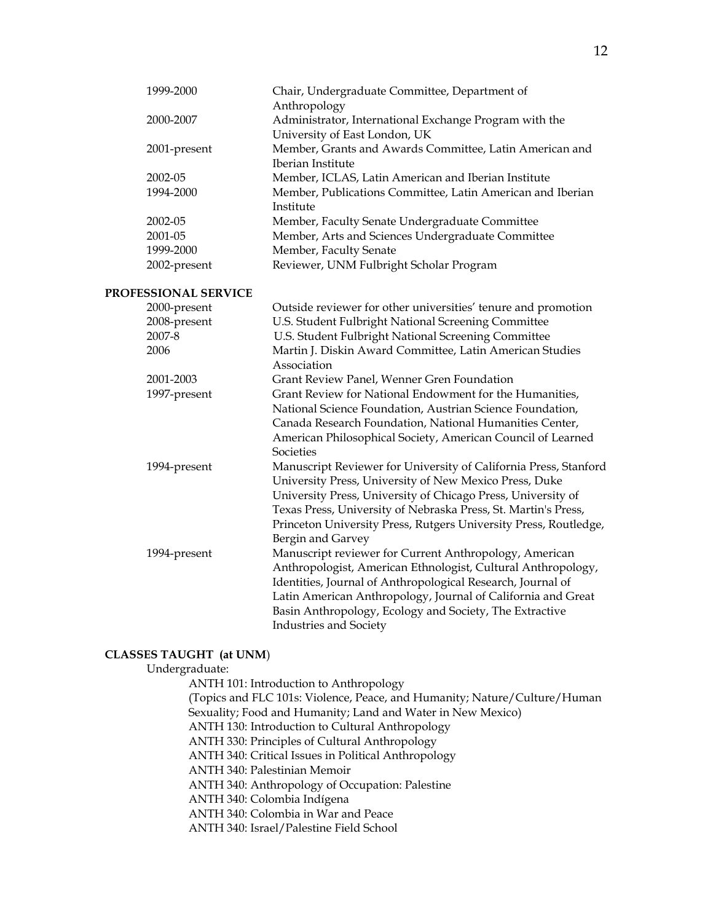| 1999-2000            | Chair, Undergraduate Committee, Department of                           |
|----------------------|-------------------------------------------------------------------------|
| 2000-2007            | Anthropology                                                            |
|                      | Administrator, International Exchange Program with the                  |
|                      | University of East London, UK                                           |
| 2001-present         | Member, Grants and Awards Committee, Latin American and                 |
|                      | Iberian Institute                                                       |
| 2002-05              | Member, ICLAS, Latin American and Iberian Institute                     |
| 1994-2000            | Member, Publications Committee, Latin American and Iberian<br>Institute |
| 2002-05              | Member, Faculty Senate Undergraduate Committee                          |
| 2001-05              | Member, Arts and Sciences Undergraduate Committee                       |
| 1999-2000            | Member, Faculty Senate                                                  |
| 2002-present         | Reviewer, UNM Fulbright Scholar Program                                 |
| PROFESSIONAL SERVICE |                                                                         |
| 2000-present         | Outside reviewer for other universities' tenure and promotion           |
| 2008-present         | U.S. Student Fulbright National Screening Committee                     |
| 2007-8               | U.S. Student Fulbright National Screening Committee                     |
| 2006                 | Martin J. Diskin Award Committee, Latin American Studies                |
|                      | Association                                                             |
| 2001-2003            | Grant Review Panel, Wenner Gren Foundation                              |
| 1997-present         | Grant Review for National Endowment for the Humanities,                 |
|                      | National Science Foundation, Austrian Science Foundation,               |
|                      | Canada Research Foundation, National Humanities Center,                 |
|                      | American Philosophical Society, American Council of Learned             |
|                      | Societies                                                               |
| 1994-present         | Manuscript Reviewer for University of California Press, Stanford        |
|                      | University Press, University of New Mexico Press, Duke                  |
|                      | University Press, University of Chicago Press, University of            |
|                      | Texas Press, University of Nebraska Press, St. Martin's Press,          |
|                      | Princeton University Press, Rutgers University Press, Routledge,        |
|                      | Bergin and Garvey                                                       |
| 1994-present         | Manuscript reviewer for Current Anthropology, American                  |
|                      | Anthropologist, American Ethnologist, Cultural Anthropology,            |
|                      | Identities, Journal of Anthropological Research, Journal of             |
|                      | Latin American Anthropology, Journal of California and Great            |
|                      | Basin Anthropology, Ecology and Society, The Extractive                 |
|                      | Industries and Society                                                  |

## **CLASSES TAUGHT (at UNM**)

## Undergraduate:

ANTH 101: Introduction to Anthropology (Topics and FLC 101s: Violence, Peace, and Humanity; Nature/Culture/Human Sexuality; Food and Humanity; Land and Water in New Mexico) ANTH 130: Introduction to Cultural Anthropology ANTH 330: Principles of Cultural Anthropology ANTH 340: Critical Issues in Political Anthropology ANTH 340: Palestinian Memoir ANTH 340: Anthropology of Occupation: Palestine ANTH 340: Colombia Indígena ANTH 340: Colombia in War and Peace ANTH 340: Israel/Palestine Field School